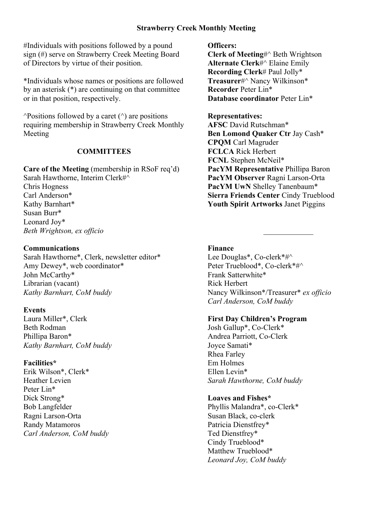## **Strawberry Creek Monthly Meeting**

#Individuals with positions followed by a pound sign (#) serve on Strawberry Creek Meeting Board of Directors by virtue of their position.

\*Individuals whose names or positions are followed by an asterisk (\*) are continuing on that committee or in that position, respectively.

 $\triangle$ Positions followed by a caret  $(\triangle)$  are positions requiring membership in Strawberry Creek Monthly Meeting

# **COMMITTEES**

**Care of the Meeting** (membership in RSoF req'd) Sarah Hawthorne, Interim Clerk#^ Chris Hogness Carl Anderson\* Kathy Barnhart\* Susan Burr\* Leonard Joy\* *Beth Wrightson, ex officio*

## **Communications**

Sarah Hawthorne\*, Clerk, newsletter editor\* Amy Dewey\*, web coordinator\* John McCarthy\* Librarian (vacant) *Kathy Barnhart, CoM buddy*

### **Events**

Laura Miller\*, Clerk Beth Rodman Phillipa Baron\* *Kathy Barnhart, CoM buddy*

#### **Facilities\***

Erik Wilson\*, Clerk\* Heather Levien Peter Lin\* Dick Strong\* Bob Langfelder Ragni Larson-Orta Randy Matamoros *Carl Anderson, CoM buddy* **Officers:**

**Clerk of Meeting**#^ Beth Wrightson **Alternate Clerk**#^ Elaine Emily **Recording Clerk**# Paul Jolly\* **Treasurer**#^ Nancy Wilkinson\* **Recorder** Peter Lin\* **Database coordinator** Peter Lin\*

### **Representatives:**

**AFSC** David Rutschman\* **Ben Lomond Quaker Ctr** Jay Cash\* **CPQM** Carl Magruder **FCLCA** Rick Herbert **FCNL** Stephen McNeil\* **PacYM Representative** Phillipa Baron **PacYM Observer** Ragni Larson-Orta **PacYM UwN** Shelley Tanenbaum\* **Sierra Friends Center** Cindy Trueblood **Youth Spirit Artworks** Janet Piggins

#### **Finance**

Lee Douglas\*, Co-clerk\*#^ Peter Trueblood\*, Co-clerk\*#^ Frank Satterwhite\* Rick Herbert Nancy Wilkinson\*/Treasurer\* *ex officio Carl Anderson, CoM buddy*

 $\frac{1}{2}$ 

### **First Day Children's Program**

Josh Gallup\*, Co-Clerk\* Andrea Parriott, Co-Clerk Joyce Samati\* Rhea Farley Em Holmes Ellen Levin\* *Sarah Hawthorne, CoM buddy*

## **Loaves and Fishes\***

Phyllis Malandra\*, co-Clerk\* Susan Black, co-clerk Patricia Dienstfrey\* Ted Dienstfrey\* Cindy Trueblood\* Matthew Trueblood\* *Leonard Joy, CoM buddy*